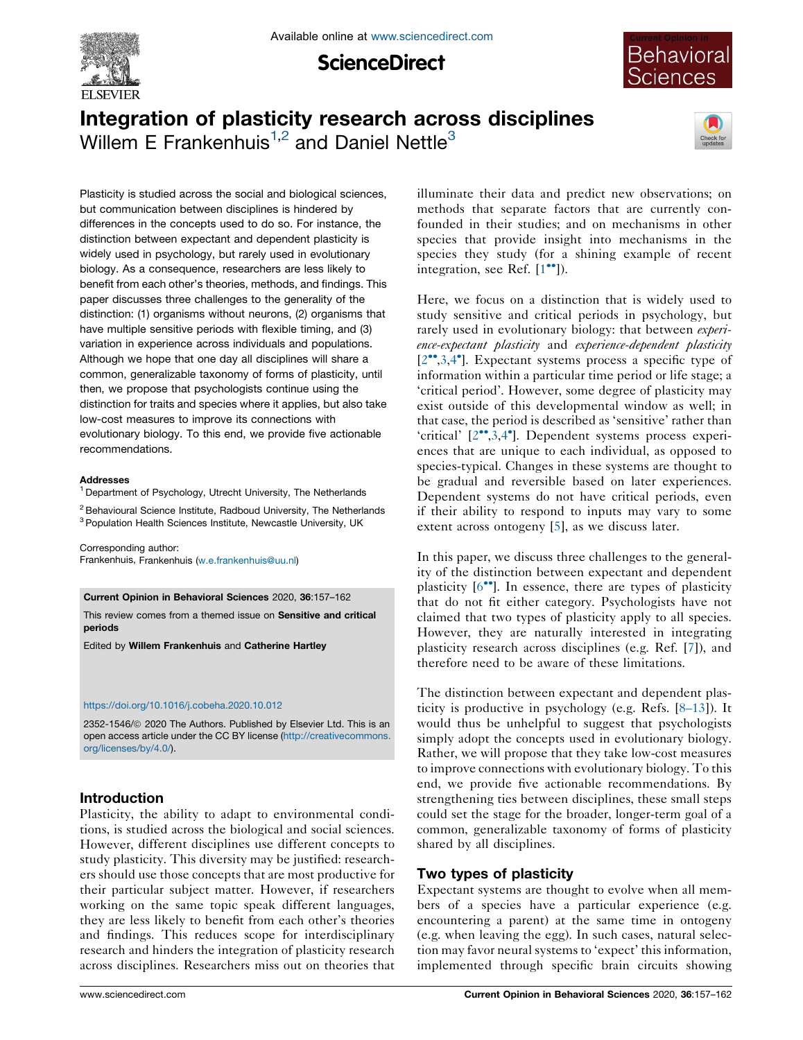

**ScienceDirect** 



# Integration of plasticity research across disciplines Willem E Frankenhuis<sup>1,2</sup> and Daniel Nettle<sup>3</sup>



Plasticity is studied across the social and biological sciences, but communication between disciplines is hindered by differences in the concepts used to do so. For instance, the distinction between expectant and dependent plasticity is widely used in psychology, but rarely used in evolutionary biology. As a consequence, researchers are less likely to benefit from each other's theories, methods, and findings. This paper discusses three challenges to the generality of the distinction: (1) organisms without neurons, (2) organisms that have multiple sensitive periods with flexible timing, and (3) variation in experience across individuals and populations. Although we hope that one day all disciplines will share a common, generalizable taxonomy of forms of plasticity, until then, we propose that psychologists continue using the distinction for traits and species where it applies, but also take low-cost measures to improve its connections with evolutionary biology. To this end, we provide five actionable recommendations.

#### Addresses

<sup>1</sup> Department of Psychology, Utrecht University, The Netherlands

 $2$  Behavioural Science Institute, Radboud University, The Netherlands <sup>3</sup> Population Health Sciences Institute, Newcastle University, UK

Corresponding author: Frankenhuis, Frankenhuis [\(w.e.frankenhuis@uu.nl\)](mailto:w.e.frankenhuis@uu.nl)

Current Opinion in Behavioral Sciences 2020, 36:157–162

This review comes from a themed issue on Sensitive and critical periods

Edited by Willem Frankenhuis and Catherine Hartley

### <https://doi.org/10.1016/j.cobeha.2020.10.012>

2352-1546/ã 2020 The Authors. Published by Elsevier Ltd. This is an open access article under the CC BY license [\(http://creativecommons.](http://creativecommons.org/licenses/by/4.0/) [org/licenses/by/4.0/](http://creativecommons.org/licenses/by/4.0/)).

# Introduction

Plasticity, the ability to adapt to environmental conditions, is studied across the biological and social sciences. However, different disciplines use different concepts to study plasticity. This diversity may be justified: researchers should use those concepts that are most productive for their particular subject matter. However, if researchers working on the same topic speak different languages, they are less likely to benefit from each other's theories and findings. This reduces scope for interdisciplinary research and hinders the integration of plasticity research across disciplines. Researchers miss out on theories that illuminate their data and predict new observations; on methods that separate factors that are currently confounded in their studies; and on mechanisms in other species that provide insight into mechanisms in the species they study (for a shining example of recent integration, see Ref.  $[1^{\bullet\bullet}]$ ).

Here, we focus on a distinction that is widely used to study sensitive and critical periods in psychology, but rarely used in evolutionary biology: that between experience-expectant plasticity and experience-dependent plasticity [2<sup>\*\*</sup>[,3](#page-4-0),[4](#page-4-0)<sup>\*</sup>]. Expectant systems process a specific type of information within a particular time period or life stage; a 'critical period'. However, some degree of plasticity may exist outside of this developmental window as well; in that case, the period is described as 'sensitive' rather than 'critical' [2<sup>\*\*</sup>,[3,4](#page-4-0)<sup>\*</sup>]. Dependent systems process experiences that are unique to each individual, as opposed to species-typical. Changes in these systems are thought to be gradual and reversible based on later experiences. Dependent systems do not have critical periods, even if their ability to respond to inputs may vary to some extent across ontogeny [[5\]](#page-4-0), as we discuss later.

In this paper, we discuss three challenges to the generality of the distinction between expectant and dependent plasticity  $[6\degree]$ . In essence, there are types of plasticity that do not fit either category. Psychologists have not claimed that two types of plasticity apply to all species. However, they are naturally interested in integrating plasticity research across disciplines (e.g. Ref. [[7\]](#page-4-0)), and therefore need to be aware of these limitations.

The distinction between expectant and dependent plasticity is productive in psychology (e.g. Refs. [\[8–13](#page-4-0)]). It would thus be unhelpful to suggest that psychologists simply adopt the concepts used in evolutionary biology. Rather, we will propose that they take low-cost measures to improve connections with evolutionary biology. To this end, we provide five actionable recommendations. By strengthening ties between disciplines, these small steps could set the stage for the broader, longer-term goal of a common, generalizable taxonomy of forms of plasticity shared by all disciplines.

# Two types of plasticity

Expectant systems are thought to evolve when all members of a species have a particular experience (e.g. encountering a parent) at the same time in ontogeny (e.g. when leaving the egg). In such cases, natural selection may favor neural systems to 'expect' this information, implemented through specific brain circuits showing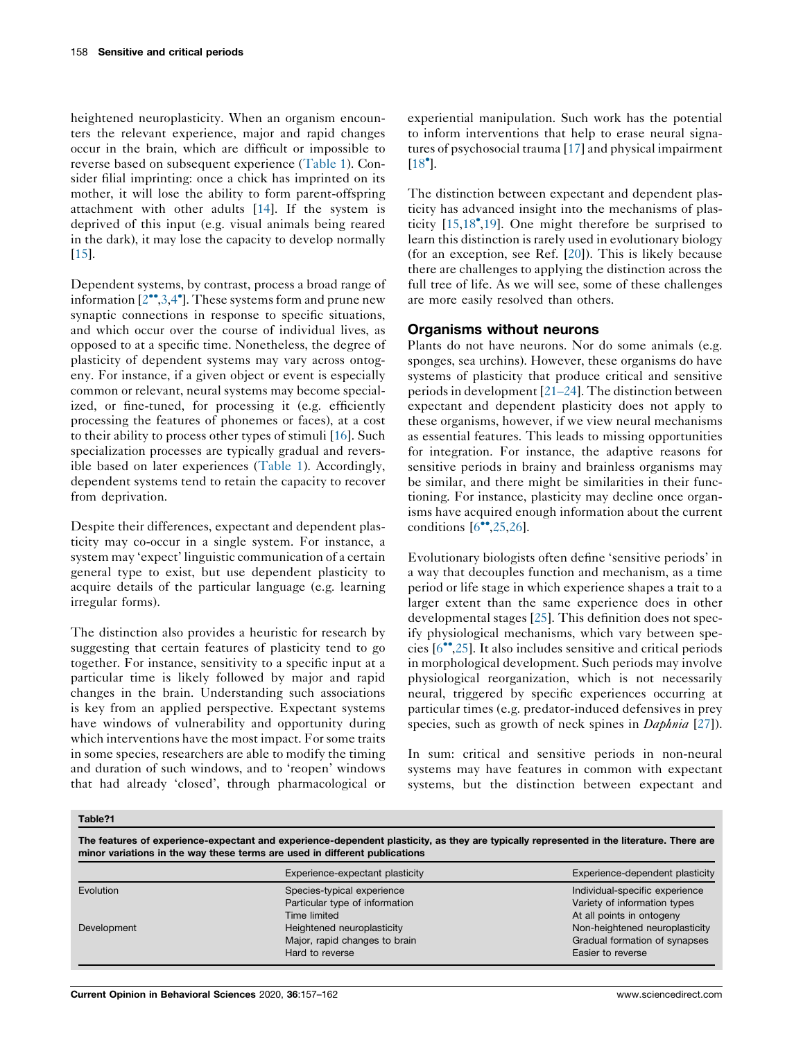<span id="page-1-0"></span>heightened neuroplasticity. When an organism encounters the relevant experience, major and rapid changes occur in the brain, which are difficult or impossible to reverse based on subsequent experience (Table 1). Consider filial imprinting: once a chick has imprinted on its mother, it will lose the ability to form parent-offspring attachment with other adults [\[14](#page-4-0)]. If the system is deprived of this input (e.g. visual animals being reared in the dark), it may lose the capacity to develop normally [\[15](#page-4-0)].

Dependent systems, by contrast, process a broad range of information  $[2^{\bullet\bullet},3,4^\bullet]$  $[2^{\bullet\bullet},3,4^\bullet]$  $[2^{\bullet\bullet},3,4^\bullet]$ . These systems form and prune new synaptic connections in response to specific situations, and which occur over the course of individual lives, as opposed to at a specific time. Nonetheless, the degree of plasticity of dependent systems may vary across ontogeny. For instance, if a given object or event is especially common or relevant, neural systems may become specialized, or fine-tuned, for processing it (e.g. efficiently processing the features of phonemes or faces), at a cost to their ability to process other types of stimuli [[16\]](#page-4-0). Such specialization processes are typically gradual and reversible based on later experiences (Table 1). Accordingly, dependent systems tend to retain the capacity to recover from deprivation.

Despite their differences, expectant and dependent plasticity may co-occur in a single system. For instance, a system may 'expect' linguistic communication of a certain general type to exist, but use dependent plasticity to acquire details of the particular language (e.g. learning irregular forms).

The distinction also provides a heuristic for research by suggesting that certain features of plasticity tend to go together. For instance, sensitivity to a specific input at a particular time is likely followed by major and rapid changes in the brain. Understanding such associations is key from an applied perspective. Expectant systems have windows of vulnerability and opportunity during which interventions have the most impact. For some traits in some species, researchers are able to modify the timing and duration of such windows, and to 'reopen' windows that had already 'closed', through pharmacological or

experiential manipulation. Such work has the potential to inform interventions that help to erase neural signatures of psychosocial trauma [\[17](#page-4-0)] and physical impairment  $[18^\bullet]$  $[18^\bullet]$ .

The distinction between expectant and dependent plasticity has advanced insight into the mechanisms of plasticity [[15,18](#page-4-0) ,[19\]](#page-4-0). One might therefore be surprised to learn this distinction is rarely used in evolutionary biology (for an exception, see Ref. [\[20](#page-4-0)]). This is likely because there are challenges to applying the distinction across the full tree of life. As we will see, some of these challenges are more easily resolved than others.

### Organisms without neurons

Plants do not have neurons. Nor do some animals (e.g. sponges, sea urchins). However, these organisms do have systems of plasticity that produce critical and sensitive periods in development  $[21-24]$ . The distinction between expectant and dependent plasticity does not apply to these organisms, however, if we view neural mechanisms as essential features. This leads to missing opportunities for integration. For instance, the adaptive reasons for sensitive periods in brainy and brainless organisms may be similar, and there might be similarities in their functioning. For instance, plasticity may decline once organisms have acquired enough information about the current conditions  $[6\text{°}^\bullet, 25, 26]$  $[6\text{°}^\bullet, 25, 26]$ .

Evolutionary biologists often define 'sensitive periods' in a way that decouples function and mechanism, as a time period or life stage in which experience shapes a trait to a larger extent than the same experience does in other developmental stages [[25\]](#page-4-0). This definition does not specify physiological mechanisms, which vary between species  $[6^{\bullet\bullet},25]$  $[6^{\bullet\bullet},25]$ . It also includes sensitive and critical periods in morphological development. Such periods may involve physiological reorganization, which is not necessarily neural, triggered by specific experiences occurring at particular times (e.g. predator-induced defensives in prey species, such as growth of neck spines in *Daphnia* [\[27](#page-4-0)]).

In sum: critical and sensitive periods in non-neural systems may have features in common with expectant systems, but the distinction between expectant and

Table?1

The features of experience-expectant and experience-dependent plasticity, as they are typically represented in the literature. There are minor variations in the way these terms are used in different publications

|             | Experience-expectant plasticity | Experience-dependent plasticity |
|-------------|---------------------------------|---------------------------------|
| Evolution   | Species-typical experience      | Individual-specific experience  |
|             | Particular type of information  | Variety of information types    |
|             | Time limited                    | At all points in ontogeny       |
| Development | Heightened neuroplasticity      | Non-heightened neuroplasticity  |
|             | Major, rapid changes to brain   | Gradual formation of synapses   |
|             | Hard to reverse                 | Easier to reverse               |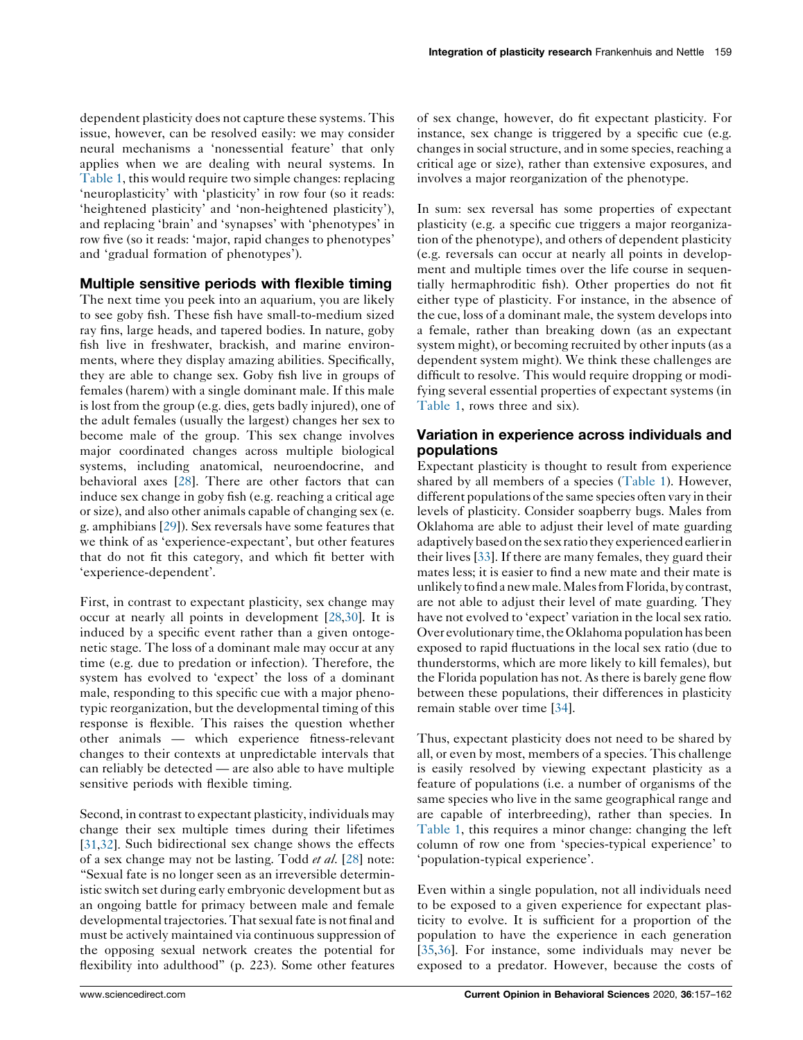dependent plasticity does not capture these systems. This issue, however, can be resolved easily: we may consider neural mechanisms a 'nonessential feature' that only applies when we are dealing with neural systems. In [Table](#page-1-0) 1, this would require two simple changes: replacing 'neuroplasticity' with 'plasticity' in row four (so it reads: 'heightened plasticity' and 'non-heightened plasticity'), and replacing 'brain' and 'synapses' with 'phenotypes' in row five (so it reads: 'major, rapid changes to phenotypes' and 'gradual formation of phenotypes').

## Multiple sensitive periods with flexible timing

The next time you peek into an aquarium, you are likely to see goby fish. These fish have small-to-medium sized ray fins, large heads, and tapered bodies. In nature, goby fish live in freshwater, brackish, and marine environments, where they display amazing abilities. Specifically, they are able to change sex. Goby fish live in groups of females (harem) with a single dominant male. If this male is lost from the group (e.g. dies, gets badly injured), one of the adult females (usually the largest) changes her sex to become male of the group. This sex change involves major coordinated changes across multiple biological systems, including anatomical, neuroendocrine, and behavioral axes [\[28](#page-4-0)]. There are other factors that can induce sex change in goby fish (e.g. reaching a critical age or size), and also other animals capable of changing sex (e. g. amphibians [[29\]](#page-4-0)). Sex reversals have some features that we think of as 'experience-expectant', but other features that do not fit this category, and which fit better with 'experience-dependent'.

First, in contrast to expectant plasticity, sex change may occur at nearly all points in development [[28,30](#page-4-0)]. It is induced by a specific event rather than a given ontogenetic stage. The loss of a dominant male may occur at any time (e.g. due to predation or infection). Therefore, the system has evolved to 'expect' the loss of a dominant male, responding to this specific cue with a major phenotypic reorganization, but the developmental timing of this response is flexible. This raises the question whether other animals — which experience fitness-relevant changes to their contexts at unpredictable intervals that can reliably be detected — are also able to have multiple sensitive periods with flexible timing.

Second, in contrast to expectant plasticity, individuals may change their sex multiple times during their lifetimes [\[31](#page-4-0),[32](#page-4-0)]. Such bidirectional sex change shows the effects of a sex change may not be lasting. Todd *et al.* [\[28\]](#page-4-0) note: "Sexual fate is no longer seen as an irreversible deterministic switch set during early embryonic development but as an ongoing battle for primacy between male and female developmental trajectories. That sexual fate is not final and must be actively maintained via continuous suppression of the opposing sexual network creates the potential for flexibility into adulthood" (p. 223). Some other features

of sex change, however, do fit expectant plasticity. For instance, sex change is triggered by a specific cue (e.g. changes in social structure, and in some species, reaching a critical age or size), rather than extensive exposures, and involves a major reorganization of the phenotype.

In sum: sex reversal has some properties of expectant plasticity (e.g. a specific cue triggers a major reorganization of the phenotype), and others of dependent plasticity (e.g. reversals can occur at nearly all points in development and multiple times over the life course in sequentially hermaphroditic fish). Other properties do not fit either type of plasticity. For instance, in the absence of the cue, loss of a dominant male, the system develops into a female, rather than breaking down (as an expectant system might), or becoming recruited by other inputs(as a dependent system might). We think these challenges are difficult to resolve. This would require dropping or modifying several essential properties of expectant systems (in [Table](#page-1-0) 1, rows three and six).

## Variation in experience across individuals and populations

Expectant plasticity is thought to result from experience shared by all members of a species ([Table](#page-1-0) 1). However, different populations of the same species often vary in their levels of plasticity. Consider soapberry bugs. Males from Oklahoma are able to adjust their level of mate guarding adaptively based on the sex ratio they experienced earlier in their lives [[33](#page-4-0)]. If there are many females, they guard their mates less; it is easier to find a new mate and their mate is unlikely to findanewmale.Males fromFlorida, by contrast, are not able to adjust their level of mate guarding. They have not evolved to 'expect' variation in the local sex ratio. Over evolutionary time, the Oklahoma population has been exposed to rapid fluctuations in the local sex ratio (due to thunderstorms, which are more likely to kill females), but the Florida population has not. As there is barely gene flow between these populations, their differences in plasticity remain stable over time [[34](#page-4-0)].

Thus, expectant plasticity does not need to be shared by all, or even by most, members of a species. This challenge is easily resolved by viewing expectant plasticity as a feature of populations (i.e. a number of organisms of the same species who live in the same geographical range and are capable of interbreeding), rather than species. In [Table](#page-1-0) 1, this requires a minor change: changing the left column of row one from 'species-typical experience' to 'population-typical experience'.

Even within a single population, not all individuals need to be exposed to a given experience for expectant plasticity to evolve. It is sufficient for a proportion of the population to have the experience in each generation [[35](#page-4-0),[36\]](#page-5-0). For instance, some individuals may never be exposed to a predator. However, because the costs of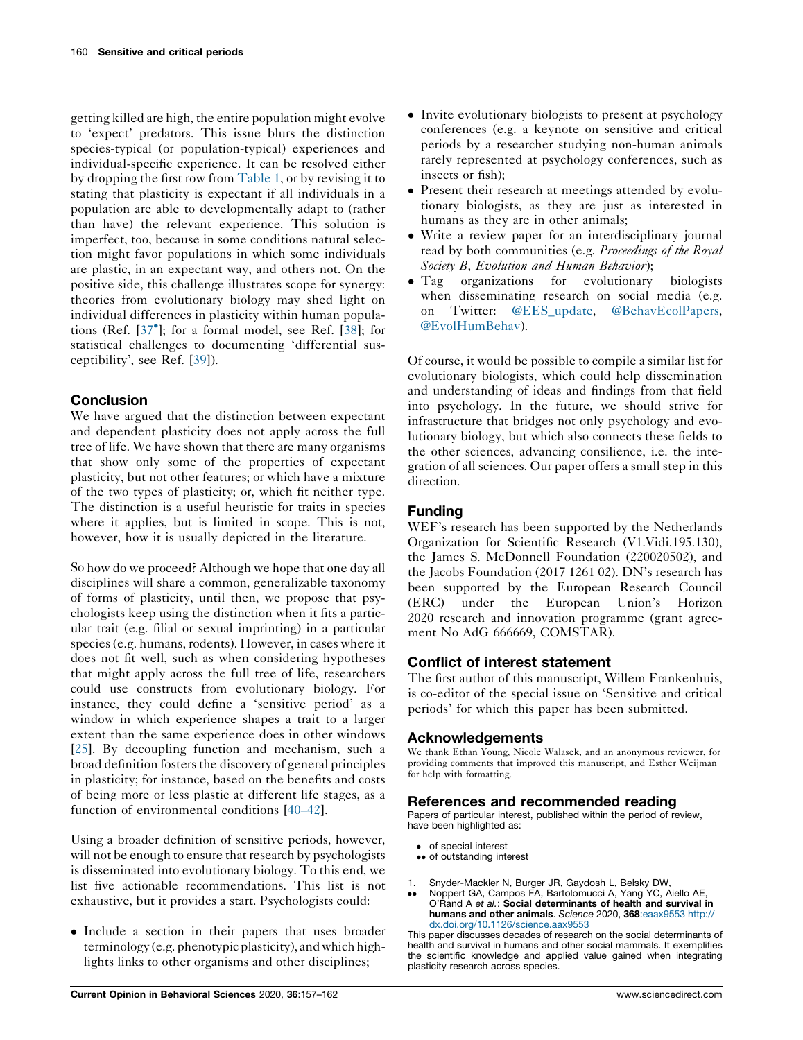<span id="page-3-0"></span>getting killed are high, the entire population might evolve to 'expect' predators. This issue blurs the distinction species-typical (or population-typical) experiences and individual-specific experience. It can be resolved either by dropping the first row from [Table](#page-1-0) 1, or by revising it to stating that plasticity is expectant if all individuals in a population are able to developmentally adapt to (rather than have) the relevant experience. This solution is imperfect, too, because in some conditions natural selection might favor populations in which some individuals are plastic, in an expectant way, and others not. On the positive side, this challenge illustrates scope for synergy: theories from evolutionary biology may shed light on individual differences in plasticity within human populations (Ref. [37 ]; for a formal [model,](#page-5-0) see Ref. [[38\]](#page-5-0); for statistical challenges to documenting 'differential susceptibility', see Ref. [[39\]](#page-5-0)).

# **Conclusion**

We have argued that the distinction between expectant and dependent plasticity does not apply across the full tree of life. We have shown that there are many organisms that show only some of the properties of expectant plasticity, but not other features; or which have a mixture of the two types of plasticity; or, which fit neither type. The distinction is a useful heuristic for traits in species where it applies, but is limited in scope. This is not, however, how it is usually depicted in the literature.

So how do we proceed? Although we hope that one day all disciplines will share a common, generalizable taxonomy of forms of plasticity, until then, we propose that psychologists keep using the distinction when it fits a particular trait (e.g. filial or sexual imprinting) in a particular species(e.g. humans, rodents). However, in cases where it does not fit well, such as when considering hypotheses that might apply across the full tree of life, researchers could use constructs from evolutionary biology. For instance, they could define a 'sensitive period' as a window in which experience shapes a trait to a larger extent than the same experience does in other windows [\[25](#page-4-0)]. By decoupling function and mechanism, such a broad definition fosters the discovery of general principles in plasticity; for instance, based on the benefits and costs of being more or less plastic at different life stages, as a function of environmental conditions [[40–42\]](#page-5-0).

Using a broader definition of sensitive periods, however, will not be enough to ensure that research by psychologists is disseminated into evolutionary biology. To this end, we list five actionable recommendations. This list is not exhaustive, but it provides a start. Psychologists could:

• Include a section in their papers that uses broader terminology (e.g. phenotypic plasticity), and which highlights links to other organisms and other disciplines;

- Invite evolutionary biologists to present at psychology conferences (e.g. a keynote on sensitive and critical periods by a researcher studying non-human animals rarely represented at psychology conferences, such as insects or fish);
- Present their research at meetings attended by evolutionary biologists, as they are just as interested in humans as they are in other animals;
- Write a review paper for an interdisciplinary journal read by both communities (e.g. Proceedings of the Royal Society B, Evolution and Human Behavior);
- Tag organizations for evolutionary biologists when disseminating research on social media (e.g. on Twitter: [@EES\\_update,](http://@EES_update) [@BehavEcolPapers,](http://@BehavEcolPapers) [@EvolHumBehav](http://@EvolHumBehav)).

Of course, it would be possible to compile a similar list for evolutionary biologists, which could help dissemination and understanding of ideas and findings from that field into psychology. In the future, we should strive for infrastructure that bridges not only psychology and evolutionary biology, but which also connects these fields to the other sciences, advancing consilience, i.e. the integration of all sciences. Our paper offers a small step in this direction.

# Funding

WEF's research has been supported by the Netherlands Organization for Scientific Research (V1.Vidi.195.130), the James S. McDonnell Foundation (220020502), and the Jacobs Foundation (2017 1261 02). DN's research has been supported by the European Research Council (ERC) under the European Union's Horizon 2020 research and innovation programme (grant agreement No AdG 666669, COMSTAR).

# Conflict of interest statement

The first author of this manuscript, Willem Frankenhuis, is co-editor of the special issue on 'Sensitive and critical periods' for which this paper has been submitted.

## Acknowledgements

We thank Ethan Young, Nicole Walasek, and an anonymous reviewer, for providing comments that improved this manuscript, and Esther Weijman for help with formatting.

### References and recommended reading

Papers of particular interest, published within the period of review, have been highlighted as:

- of special interest
- •• of outstanding interest
- 1. Snyder-Mackler N, Burger JR, Gaydosh L, Belsky DW,
- $\ddot{\phantom{0}}$ Noppert GA, Campos FA, Bartolomucci A, Yang YC, Aiello AE, O'Rand A et al.: Social determinants of health and survival in humans and other animals. Science 2020, 368:eaax9553 [http://](http://dx.doi.org/10.1126/science.aax9553) [dx.doi.org/10.1126/science.aax9553](http://dx.doi.org/10.1126/science.aax9553)

This paper discusses decades of research on the social determinants of health and survival in humans and other social mammals. It exemplifies the scientific knowledge and applied value gained when integrating plasticity research across species.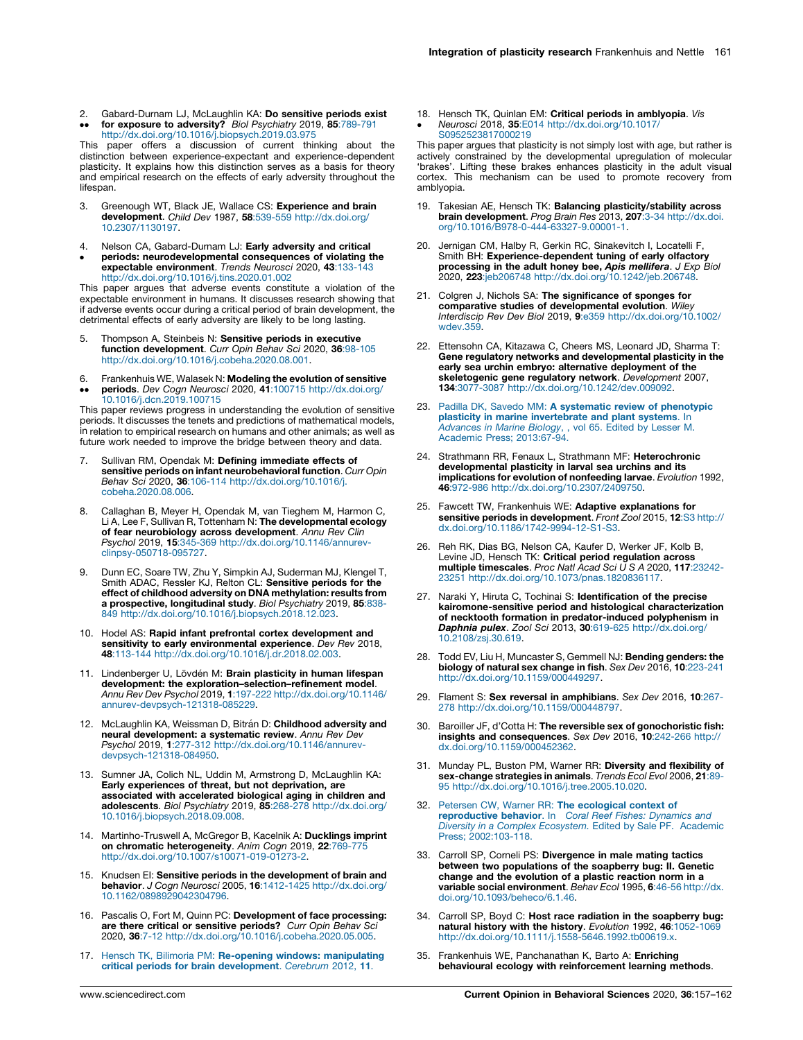<span id="page-4-0"></span>2.  $\ddot{\phantom{0}}$ Gabard-Durnam LJ, McLaughlin KA: **Do sensitive periods exist**<br>**for exposure to adversity?** *Biol Psychiatry* 2019, **85**:789-791 <http://dx.doi.org/10.1016/j.biopsych.2019.03.975>

This paper offers a discussion of current thinking about the distinction between experience-expectant and experience-dependent plasticity. It explains how this distinction serves as a basis for theory and empirical research on the effects of early adversity throughout the lifespan.

- 3. Greenough WT, Black JE, Wallace CS: Experience and brain development. Child Dev 1987, 58:539-559 [http://dx.doi.org/](http://dx.doi.org/10.2307/1130197) [10.2307/1130197.](http://dx.doi.org/10.2307/1130197)
- 4. .<br>. Nelson CA, Gabard-Durnam LJ: Early adversity and critical periods: neurodevelopmental consequences of violating the expectable environment. Trends Neurosci 2020, 43:133-143

<http://dx.doi.org/10.1016/j.tins.2020.01.002> This paper argues that adverse events constitute a violation of the expectable environment in humans. It discusses research showing that if adverse events occur during a critical period of brain development, the detrimental effects of early adversity are likely to be long lasting.

- 5. Thompson A, Steinbeis N: Sensitive periods in executive function development. Curr Opin Behav Sci 2020, 36:98-105 [http://dx.doi.org/10.1016/j.cobeha.2020.08.001.](http://dx.doi.org/10.1016/j.cobeha.2020.08.001)
- 6.  $\bullet\bullet$ Frankenhuis WE, Walasek N: Modeling the evolution of sensitive periods. Dev Cogn Neurosci 2020, 41:100715 [http://dx.doi.org/](http://dx.doi.org/10.1016/j.dcn.2019.100715) [10.1016/j.dcn.2019.100715](http://dx.doi.org/10.1016/j.dcn.2019.100715)

This paper reviews progress in understanding the evolution of sensitive periods. It discusses the tenets and predictions of mathematical models, in relation to empirical research on humans and other animals; as well as future work needed to improve the bridge between theory and data.

- 7. Sullivan RM, Opendak M: Defining immediate effects of sensitive periods on infant neurobehavioral function. Curr Opin Behav Sci 2020, 36:106-114 [http://dx.doi.org/10.1016/j.](http://dx.doi.org/10.1016/j.cobeha.2020.08.006) [cobeha.2020.08.006.](http://dx.doi.org/10.1016/j.cobeha.2020.08.006)
- 8. Callaghan B, Meyer H, Opendak M, van Tieghem M, Harmon C, Li A, Lee F, Sullivan R, Tottenham N: The developmental ecology **of fear neurobiology across development**. *Annu Rev Clin*<br>*Psychol 2*019, 15:345-369 [http://dx.doi.org/10.1146/annurev](http://dx.doi.org/10.1146/annurev-clinpsy-050718-095727)[clinpsy-050718-095727](http://dx.doi.org/10.1146/annurev-clinpsy-050718-095727).
- Dunn EC, Soare TW, Zhu Y, Simpkin AJ, Suderman MJ, Klengel T, Smith ADAC, Ressler KJ, Relton CL: Sensitive periods for the effect of childhood adversity on DNA methylation: results from a prospective, longitudinal study. Biol Psychiatry 2019, 85:838- 849 <http://dx.doi.org/10.1016/j.biopsych.2018.12.023>.
- 10. Hodel AS: Rapid infant prefrontal cortex development and sensitivity to early environmental experience. Dev Rev 2018, 48:113-144 <http://dx.doi.org/10.1016/j.dr.2018.02.003>.
- 11. Lindenberger U, Lövdén M: Brain plasticity in human lifespan development: the exploration–selection–refinement model. **Annu Rev Dev Psychol 2019, 1**:197-222 [http://dx.doi.org/10.1146/](http://dx.doi.org/10.1146/annurev-devpsych-121318-085229)<br>[annurev-devpsych-121318-085229.](http://dx.doi.org/10.1146/annurev-devpsych-121318-085229)
- 12. McLaughlin KA, Weissman D, Bitrán D: Childhood adversity and neural development: a systematic review. Annu Rev Dev Psychol 2019, 1:277-312 [http://dx.doi.org/10.1146/annurev](http://dx.doi.org/10.1146/annurev-devpsych-121318-084950)[devpsych-121318-084950](http://dx.doi.org/10.1146/annurev-devpsych-121318-084950).
- 13. Sumner JA, Colich NL, Uddin M, Armstrong D, McLaughlin KA: Early experiences of threat, but not deprivation, are associated with accelerated biological aging in children and adolescents. Biol Psychiatry 2019, 85:268-278 [http://dx.doi.org/](http://dx.doi.org/10.1016/j.biopsych.2018.09.008) [10.1016/j.biopsych.2018.09.008](http://dx.doi.org/10.1016/j.biopsych.2018.09.008).
- 14. Martinho-Truswell A, McGregor B, Kacelnik A: Ducklings imprint **on chromatic heterogeneity**. *Anim Cogn 2*019, **22**:769-775<br>[http://dx.doi.org/10.1007/s10071-019-01273-2.](http://dx.doi.org/10.1007/s10071-019-01273-2)
- 15. Knudsen EI: Sensitive periods in the development of brain and behavior. J Cogn Neurosci 2005, 16:1412-1425 [http://dx.doi.org/](http://dx.doi.org/10.1162/0898929042304796) [10.1162/0898929042304796.](http://dx.doi.org/10.1162/0898929042304796)
- 16. Pascalis O, Fort M, Quinn PC: Development of face processing: **are there critical or sensitive periods?** *Curr Opin Behav Sci*<br>2020, **36**:7-12 [http://dx.doi.org/10.1016/j.cobeha.2020.05.005.](http://dx.doi.org/10.1016/j.cobeha.2020.05.005)
- 17. Hensch TK, Bilimoria PM: Re-opening windows: [manipulating](http://refhub.elsevier.com/S2352-1546(20)30157-1/sbref0085) critical periods for brain [development](http://refhub.elsevier.com/S2352-1546(20)30157-1/sbref0085). Cerebrum 2012, 11.

18. Hensch TK, Quinlan EM: Critical periods in amblyopia. Vis  $\bullet$ Neurosci 2018, 35:E014 [http://dx.doi.org/10.1017/](http://dx.doi.org/10.1017/S0952523817000219) [S0952523817000219](http://dx.doi.org/10.1017/S0952523817000219)

This paper argues that plasticity is not simply lost with age, but rather is actively constrained by the developmental upregulation of molecular 'brakes'. Lifting these brakes enhances plasticity in the adult visual cortex. This mechanism can be used to promote recovery from amblyopia.

- 19. Takesian AE, Hensch TK: Balancing plasticity/stability across brain development. Prog Brain Res 2013, 207:3-34 [http://dx.doi.](http://dx.doi.org/10.1016/B978-0-444-63327-9.00001-1) [org/10.1016/B978-0-444-63327-9.00001-1.](http://dx.doi.org/10.1016/B978-0-444-63327-9.00001-1)
- Jernigan CM, Halby R, Gerkin RC, Sinakevitch I, Locatelli F, Smith BH: Experience-dependent tuning of early olfactory processing in the adult honey bee, Apis mellifera. J Exp Biol 2020, 223:jeb206748 [http://dx.doi.org/10.1242/jeb.206748.](http://dx.doi.org/10.1242/jeb.206748)
- 21. Colgren J, Nichols SA: The significance of sponges for comparative studies of developmental evolution. Wiley Interdiscip Rev Dev Biol 2019, 9:e359 [http://dx.doi.org/10.1002/](http://dx.doi.org/10.1002/wdev.359) [wdev.359](http://dx.doi.org/10.1002/wdev.359).
- 22. Ettensohn CA, Kitazawa C, Cheers MS, Leonard JD, Sharma T: Gene regulatory networks and developmental plasticity in the early sea urchin embryo: alternative deployment of the skeletogenic gene regulatory network. Development 2007, 134:3077-3087 [http://dx.doi.org/10.1242/dev.009092.](http://dx.doi.org/10.1242/dev.009092)
- 23. Padilla DK, Savedo MM: A systematic review of [phenotypic](http://refhub.elsevier.com/S2352-1546(20)30157-1/sbref0115) plasticity in marine [invertebrate](http://refhub.elsevier.com/S2352-1546(20)30157-1/sbref0115) and plant systems. In [Advances](http://refhub.elsevier.com/S2352-1546(20)30157-1/sbref0115) in Marine Biology, , vol 65. Edited by Lesser M. Academic Press; 2013:67-94.
- 24. Strathmann RR, Fenaux L, Strathmann MF: Heterochronic developmental plasticity in larval sea urchins and its implications for evolution of nonfeeding larvae. Evolution 1992, 46:972-986 <http://dx.doi.org/10.2307/2409750>.
- 25. Fawcett TW, Frankenhuis WE: Adaptive explanations for<br>sensitive periods in development. Front Zool 2015, 12:S3 [http://](http://dx.doi.org/10.1186/1742-9994-12-S1-S3) [dx.doi.org/10.1186/1742-9994-12-S1-S3](http://dx.doi.org/10.1186/1742-9994-12-S1-S3).
- 26. Reh RK, Dias BG, Nelson CA, Kaufer D, Werker JF, Kolb B, Levine JD, Hensch TK: **Critical period regulation across**<br>**multiple timescales**. *Proc Natl Acad Sci U S A* 2020, 117:23242-23251 [http://dx.doi.org/10.1073/pnas.1820836117.](http://dx.doi.org/10.1073/pnas.1820836117)
- 27. Naraki Y, Hiruta C, Tochinai S: Identification of the precise kairomone-sensitive period and histological characterization of necktooth formation in predator-induced polyphenism in Daphnia pulex. Zool Sci 2013, 30:619-625 [http://dx.doi.org/](http://dx.doi.org/10.2108/zsj.30.619) [10.2108/zsj.30.619.](http://dx.doi.org/10.2108/zsj.30.619)
- 28. Todd EV, Liu H, Muncaster S, Gemmell NJ: Bending genders: the biology of natural sex change in fish. Sex Dev 2016, 10:223-241 [http://dx.doi.org/10.1159/000449297.](http://dx.doi.org/10.1159/000449297)
- 29. Flament S: Sex reversal in amphibians. Sex Dev 2016, 10:267- 278 [http://dx.doi.org/10.1159/000448797.](http://dx.doi.org/10.1159/000448797)
- 30. Baroiller JF, d'Cotta H: The reversible sex of gonochoristic fish: insights and consequences. Sex Dev 2016, 10:242-266 [http://](http://dx.doi.org/10.1159/000452362) [dx.doi.org/10.1159/000452362.](http://dx.doi.org/10.1159/000452362)
- 31. Munday PL, Buston PM, Warner RR: Diversity and flexibility of sex-change strategies in animals. Trends Ecol Evol 2006, 21:89- 95 [http://dx.doi.org/10.1016/j.tree.2005.10.020.](http://dx.doi.org/10.1016/j.tree.2005.10.020)
- 32. Petersen CW, Warner RR: The [ecological](http://refhub.elsevier.com/S2352-1546(20)30157-1/sbref0160) context of [reproductive](http://refhub.elsevier.com/S2352-1546(20)30157-1/sbref0160) behavior. In Coral Reef Fishes: Dynamics and Diversity in a Complex [Ecosystem.](http://refhub.elsevier.com/S2352-1546(20)30157-1/sbref0160) Edited by Sale PF. Academic Press; [2002:103-118](http://refhub.elsevier.com/S2352-1546(20)30157-1/sbref0160).
- 33. Carroll SP, Corneli PS: Divergence in male mating tactics between two populations of the soapberry bug: II. Genetic change and the evolution of a plastic reaction norm in a variable social environment. Behav Ecol 1995, 6:46-56 [http://dx.](http://dx.doi.org/10.1093/beheco/6.1.46) [doi.org/10.1093/beheco/6.1.46](http://dx.doi.org/10.1093/beheco/6.1.46).
- 34. Carroll SP, Boyd C: Host race radiation in the soapberry bug: natural history with the history. Evolution 1992, 46:1052-1069 [http://dx.doi.org/10.1111/j.1558-5646.1992.tb00619.x.](http://dx.doi.org/10.1111/j.1558-5646.1992.tb00619.x)
- 35. Frankenhuis WE, Panchanathan K, Barto A: Enriching behavioural ecology with reinforcement learning methods.